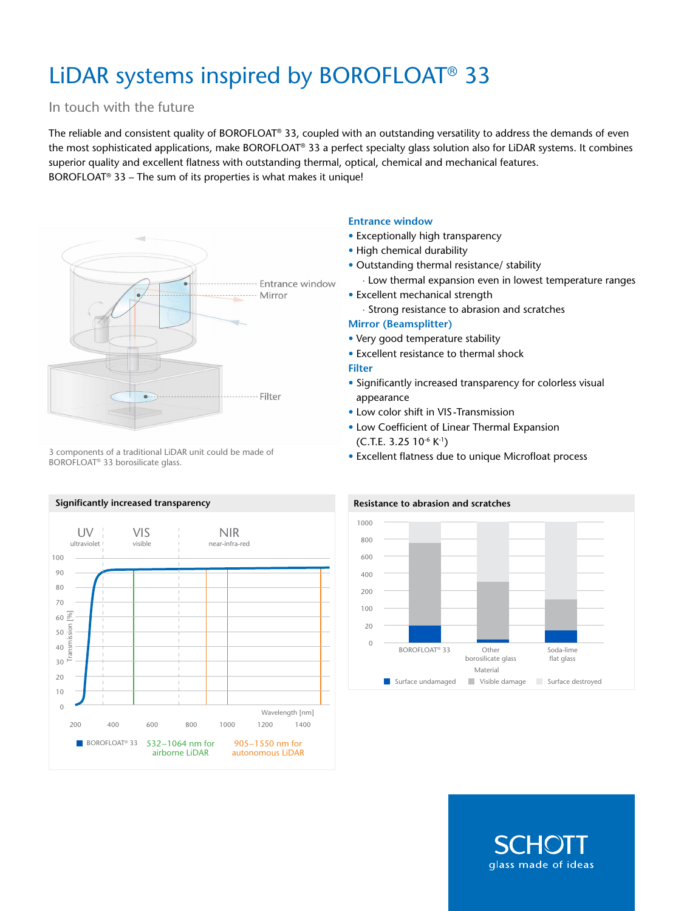# LiDAR systems inspired by BOROFLOAT® 33

# In touch with the future

The reliable and consistent quality of BOROFLOAT® 33, coupled with an outstanding versatility to address the demands of even the most sophisticated applications, make BOROFLOAT® 33 a perfect specialty glass solution also for LiDAR systems. It combines superior quality and excellent flatness with outstanding thermal, optical, chemical and mechanical features. BOROFLOAT<sup>®</sup> 33 – The sum of its properties is what makes it unique!



3 components of a traditional LiDAR unit could be made of BOROFLOAT® 33 borosilicate glass.

## **Entrance window**

- Exceptionally high transparency
- High chemical durability
- Outstanding thermal resistance/ stability
	- ∙ Low thermal expansion even in lowest temperature ranges
- Excellent mechanical strength
	- ∙ Strong resistance to abrasion and scratches

### **Mirror (Beamsplitter)**

- Very good temperature stability
- Excellent resistance to thermal shock

#### **Filter**

- Significantly increased transparency for colorless visual appearance
- Low color shift in VIS-Transmission
- • Low Coefficient of Linear Thermal Expansion  $(C.T.E. 3.25 10^{-6} K^{-1})$
- Excellent flatness due to unique Microfloat process



#### **Resistance to abrasion and scratches**



glass made of ideas